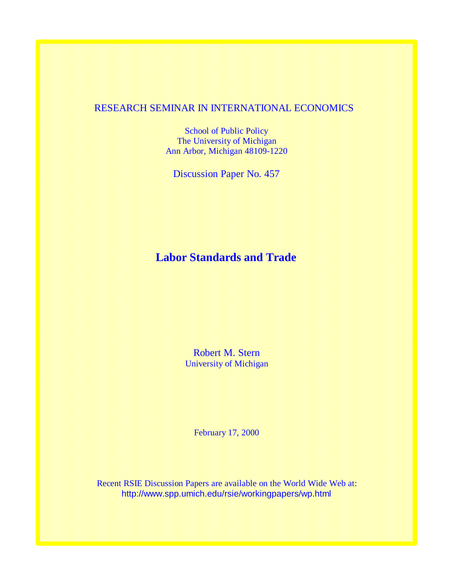# RESEARCH SEMINAR IN INTERNATIONAL ECONOMICS

School of Public Policy The University of Michigan Ann Arbor, Michigan 48109-1220

Discussion Paper No. 457

# **Labor Standards and Trade**

Robert M. Stern University of Michigan

February 17, 2000

Recent RSIE Discussion Papers are available on the World Wide Web at: http://www.spp.umich.edu/rsie/workingpapers/wp.html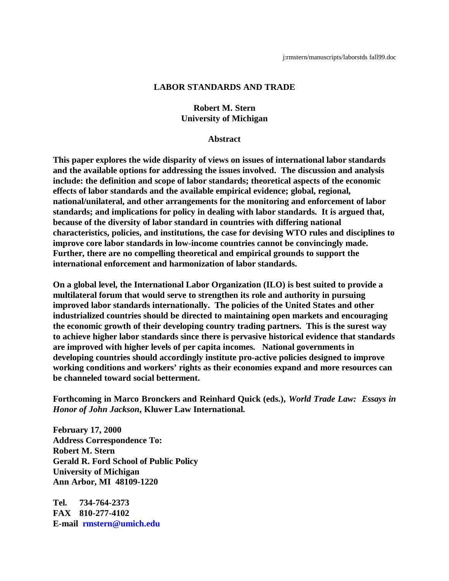#### **LABOR STANDARDS AND TRADE**

# **Robert M. Stern University of Michigan**

#### **Abstract**

**This paper explores the wide disparity of views on issues of international labor standards and the available options for addressing the issues involved. The discussion and analysis include: the definition and scope of labor standards; theoretical aspects of the economic effects of labor standards and the available empirical evidence; global, regional, national/unilateral, and other arrangements for the monitoring and enforcement of labor standards; and implications for policy in dealing with labor standards. It is argued that, because of the diversity of labor standard in countries with differing national characteristics, policies, and institutions, the case for devising WTO rules and disciplines to improve core labor standards in low-income countries cannot be convincingly made. Further, there are no compelling theoretical and empirical grounds to support the international enforcement and harmonization of labor standards.** 

**On a global level, the International Labor Organization (ILO) is best suited to provide a multilateral forum that would serve to strengthen its role and authority in pursuing improved labor standards internationally. The policies of the United States and other industrialized countries should be directed to maintaining open markets and encouraging the economic growth of their developing country trading partners. This is the surest way to achieve higher labor standards since there is pervasive historical evidence that standards are improved with higher levels of per capita incomes. National governments in developing countries should accordingly institute pro-active policies designed to improve working conditions and workers' rights as their economies expand and more resources can be channeled toward social betterment.**

**Forthcoming in Marco Bronckers and Reinhard Quick (eds.),** *World Trade Law: Essays in Honor of John Jackson***, Kluwer Law International.**

**February 17, 2000 Address Correspondence To: Robert M. Stern Gerald R. Ford School of Public Policy University of Michigan Ann Arbor, MI 48109-1220**

**Tel. 734-764-2373 FAX 810-277-4102 E-mail rmstern@umich.edu**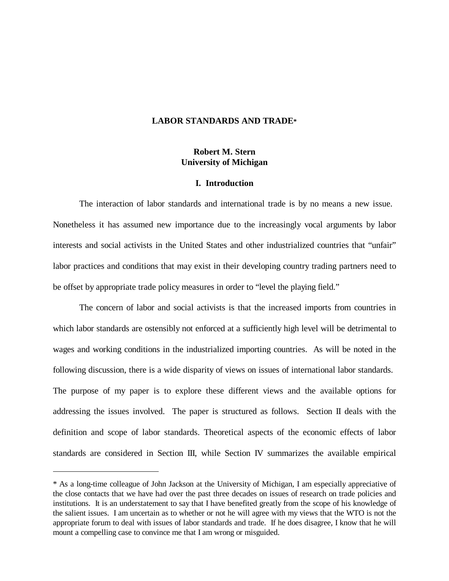# **LABOR STANDARDS AND TRADE\***

## **Robert M. Stern University of Michigan**

#### **I. Introduction**

The interaction of labor standards and international trade is by no means a new issue. Nonetheless it has assumed new importance due to the increasingly vocal arguments by labor interests and social activists in the United States and other industrialized countries that "unfair" labor practices and conditions that may exist in their developing country trading partners need to be offset by appropriate trade policy measures in order to "level the playing field."

The concern of labor and social activists is that the increased imports from countries in which labor standards are ostensibly not enforced at a sufficiently high level will be detrimental to wages and working conditions in the industrialized importing countries. As will be noted in the following discussion, there is a wide disparity of views on issues of international labor standards. The purpose of my paper is to explore these different views and the available options for addressing the issues involved. The paper is structured as follows. Section II deals with the definition and scope of labor standards. Theoretical aspects of the economic effects of labor standards are considered in Section III, while Section IV summarizes the available empirical

.

<sup>\*</sup> As a long-time colleague of John Jackson at the University of Michigan, I am especially appreciative of the close contacts that we have had over the past three decades on issues of research on trade policies and institutions. It is an understatement to say that I have benefited greatly from the scope of his knowledge of the salient issues. I am uncertain as to whether or not he will agree with my views that the WTO is not the appropriate forum to deal with issues of labor standards and trade. If he does disagree, I know that he will mount a compelling case to convince me that I am wrong or misguided.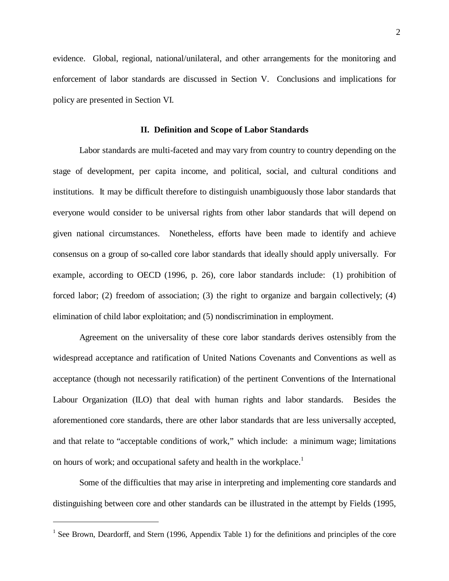evidence. Global, regional, national/unilateral, and other arrangements for the monitoring and enforcement of labor standards are discussed in Section V. Conclusions and implications for policy are presented in Section VI.

# **II. Definition and Scope of Labor Standards**

Labor standards are multi-faceted and may vary from country to country depending on the stage of development, per capita income, and political, social, and cultural conditions and institutions. It may be difficult therefore to distinguish unambiguously those labor standards that everyone would consider to be universal rights from other labor standards that will depend on given national circumstances. Nonetheless, efforts have been made to identify and achieve consensus on a group of so-called core labor standards that ideally should apply universally. For example, according to OECD (1996, p. 26), core labor standards include: (1) prohibition of forced labor; (2) freedom of association; (3) the right to organize and bargain collectively; (4) elimination of child labor exploitation; and (5) nondiscrimination in employment.

Agreement on the universality of these core labor standards derives ostensibly from the widespread acceptance and ratification of United Nations Covenants and Conventions as well as acceptance (though not necessarily ratification) of the pertinent Conventions of the International Labour Organization (ILO) that deal with human rights and labor standards. Besides the aforementioned core standards, there are other labor standards that are less universally accepted, and that relate to "acceptable conditions of work," which include: a minimum wage; limitations on hours of work; and occupational safety and health in the workplace.<sup>1</sup>

Some of the difficulties that may arise in interpreting and implementing core standards and distinguishing between core and other standards can be illustrated in the attempt by Fields (1995,

.

<sup>&</sup>lt;sup>1</sup> See Brown, Deardorff, and Stern (1996, Appendix Table 1) for the definitions and principles of the core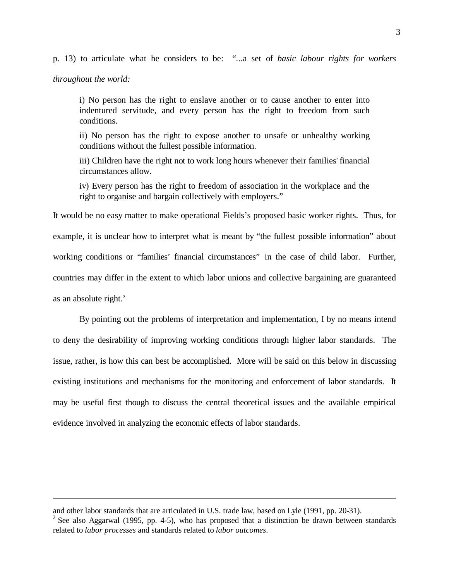p. 13) to articulate what he considers to be: "...a set of *basic labour rights for workers*

#### *throughout the world:*

1

i) No person has the right to enslave another or to cause another to enter into indentured servitude, and every person has the right to freedom from such conditions.

ii) No person has the right to expose another to unsafe or unhealthy working conditions without the fullest possible information.

iii) Children have the right not to work long hours whenever their families' financial circumstances allow.

iv) Every person has the right to freedom of association in the workplace and the right to organise and bargain collectively with employers."

It would be no easy matter to make operational Fields's proposed basic worker rights. Thus, for example, it is unclear how to interpret what is meant by "the fullest possible information" about working conditions or "families' financial circumstances" in the case of child labor. Further, countries may differ in the extent to which labor unions and collective bargaining are guaranteed as an absolute right.<sup>2</sup>

By pointing out the problems of interpretation and implementation, I by no means intend to deny the desirability of improving working conditions through higher labor standards. The issue, rather, is how this can best be accomplished. More will be said on this below in discussing existing institutions and mechanisms for the monitoring and enforcement of labor standards. It may be useful first though to discuss the central theoretical issues and the available empirical evidence involved in analyzing the economic effects of labor standards.

and other labor standards that are articulated in U.S. trade law, based on Lyle (1991, pp. 20-31).

<sup>&</sup>lt;sup>2</sup> See also Aggarwal (1995, pp. 4-5), who has proposed that a distinction be drawn between standards related to *labor processes* and standards related to *labor outcomes*.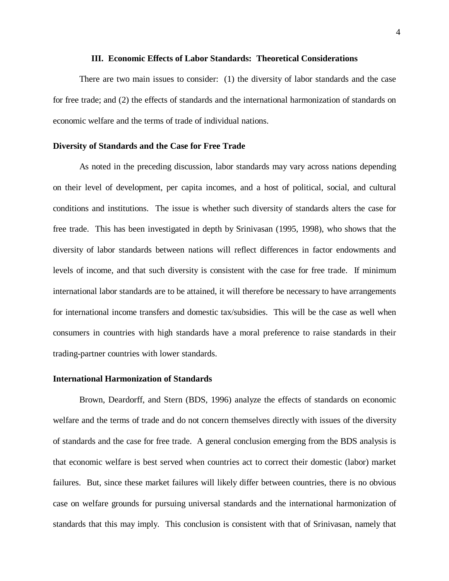#### **III. Economic Effects of Labor Standards: Theoretical Considerations**

There are two main issues to consider: (1) the diversity of labor standards and the case for free trade; and (2) the effects of standards and the international harmonization of standards on economic welfare and the terms of trade of individual nations.

#### **Diversity of Standards and the Case for Free Trade**

As noted in the preceding discussion, labor standards may vary across nations depending on their level of development, per capita incomes, and a host of political, social, and cultural conditions and institutions. The issue is whether such diversity of standards alters the case for free trade. This has been investigated in depth by Srinivasan (1995, 1998), who shows that the diversity of labor standards between nations will reflect differences in factor endowments and levels of income, and that such diversity is consistent with the case for free trade. If minimum international labor standards are to be attained, it will therefore be necessary to have arrangements for international income transfers and domestic tax/subsidies. This will be the case as well when consumers in countries with high standards have a moral preference to raise standards in their trading-partner countries with lower standards.

## **International Harmonization of Standards**

Brown, Deardorff, and Stern (BDS, 1996) analyze the effects of standards on economic welfare and the terms of trade and do not concern themselves directly with issues of the diversity of standards and the case for free trade. A general conclusion emerging from the BDS analysis is that economic welfare is best served when countries act to correct their domestic (labor) market failures. But, since these market failures will likely differ between countries, there is no obvious case on welfare grounds for pursuing universal standards and the international harmonization of standards that this may imply. This conclusion is consistent with that of Srinivasan, namely that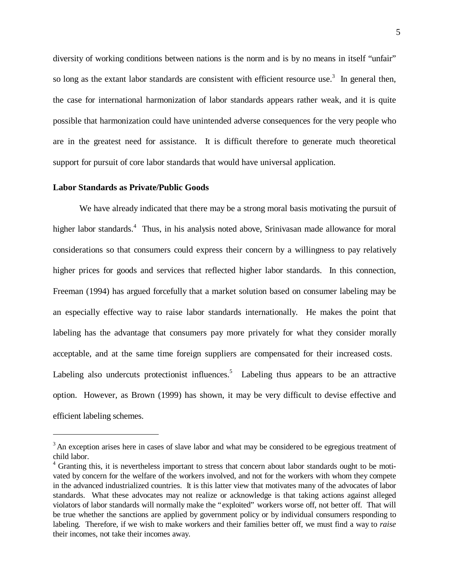diversity of working conditions between nations is the norm and is by no means in itself "unfair" so long as the extant labor standards are consistent with efficient resource use.<sup>3</sup> In general then, the case for international harmonization of labor standards appears rather weak, and it is quite possible that harmonization could have unintended adverse consequences for the very people who are in the greatest need for assistance. It is difficult therefore to generate much theoretical support for pursuit of core labor standards that would have universal application.

# **Labor Standards as Private/Public Goods**

.

We have already indicated that there may be a strong moral basis motivating the pursuit of higher labor standards.<sup>4</sup> Thus, in his analysis noted above, Srinivasan made allowance for moral considerations so that consumers could express their concern by a willingness to pay relatively higher prices for goods and services that reflected higher labor standards. In this connection, Freeman (1994) has argued forcefully that a market solution based on consumer labeling may be an especially effective way to raise labor standards internationally. He makes the point that labeling has the advantage that consumers pay more privately for what they consider morally acceptable, and at the same time foreign suppliers are compensated for their increased costs. Labeling also undercuts protectionist influences.<sup>5</sup> Labeling thus appears to be an attractive option. However, as Brown (1999) has shown, it may be very difficult to devise effective and efficient labeling schemes.

<sup>&</sup>lt;sup>3</sup>An exception arises here in cases of slave labor and what may be considered to be egregious treatment of child labor.

<sup>&</sup>lt;sup>4</sup> Granting this, it is nevertheless important to stress that concern about labor standards ought to be motivated by concern for the welfare of the workers involved, and not for the workers with whom they compete in the advanced industrialized countries. It is this latter view that motivates many of the advocates of labor standards. What these advocates may not realize or acknowledge is that taking actions against alleged violators of labor standards will normally make the "exploited" workers worse off, not better off. That will be true whether the sanctions are applied by government policy or by individual consumers responding to labeling. Therefore, if we wish to make workers and their families better off, we must find a way to *raise* their incomes, not take their incomes away.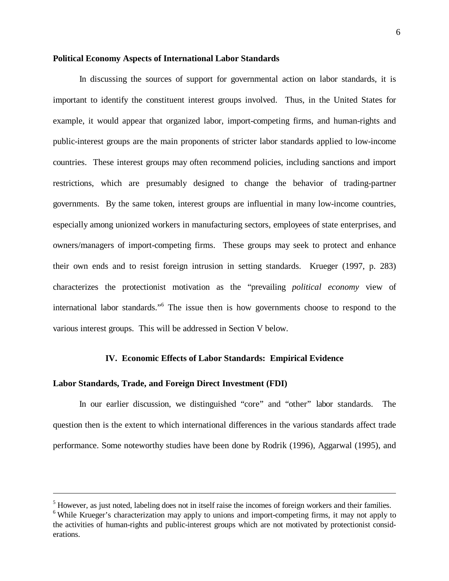## **Political Economy Aspects of International Labor Standards**

In discussing the sources of support for governmental action on labor standards, it is important to identify the constituent interest groups involved. Thus, in the United States for example, it would appear that organized labor, import-competing firms, and human-rights and public-interest groups are the main proponents of stricter labor standards applied to low-income countries. These interest groups may often recommend policies, including sanctions and import restrictions, which are presumably designed to change the behavior of trading-partner governments. By the same token, interest groups are influential in many low-income countries, especially among unionized workers in manufacturing sectors, employees of state enterprises, and owners/managers of import-competing firms. These groups may seek to protect and enhance their own ends and to resist foreign intrusion in setting standards. Krueger (1997, p. 283) characterizes the protectionist motivation as the "prevailing *political economy* view of international labor standards."<sup>6</sup> The issue then is how governments choose to respond to the various interest groups. This will be addressed in Section V below.

#### **IV. Economic Effects of Labor Standards: Empirical Evidence**

#### **Labor Standards, Trade, and Foreign Direct Investment (FDI)**

-

In our earlier discussion, we distinguished "core" and "other" labor standards. The question then is the extent to which international differences in the various standards affect trade performance. Some noteworthy studies have been done by Rodrik (1996), Aggarwal (1995), and

<sup>&</sup>lt;sup>5</sup> However, as just noted, labeling does not in itself raise the incomes of foreign workers and their families.

<sup>&</sup>lt;sup>6</sup> While Krueger's characterization may apply to unions and import-competing firms, it may not apply to the activities of human-rights and public-interest groups which are not motivated by protectionist considerations.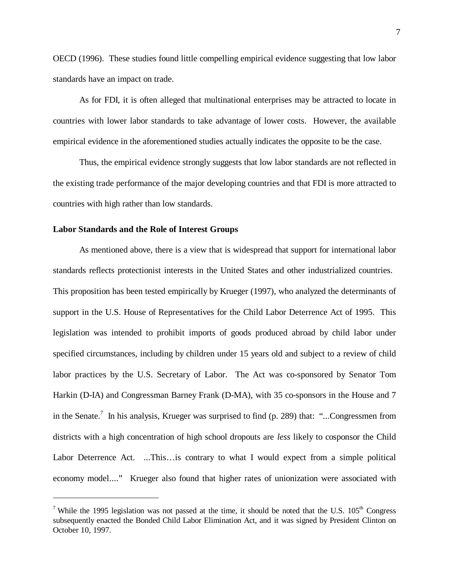OECD (1996). These studies found little compelling empirical evidence suggesting that low labor standards have an impact on trade.

As for FDI, it is often alleged that multinational enterprises may be attracted to locate in countries with lower labor standards to take advantage of lower costs. However, the available empirical evidence in the aforementioned studies actually indicates the opposite to be the case.

Thus, the empirical evidence strongly suggests that low labor standards are not reflected in the existing trade performance of the major developing countries and that FDI is more attracted to countries with high rather than low standards.

## **Labor Standards and the Role of Interest Groups**

-

As mentioned above, there is a view that is widespread that support for international labor standards reflects protectionist interests in the United States and other industrialized countries. This proposition has been tested empirically by Krueger (1997), who analyzed the determinants of support in the U.S. House of Representatives for the Child Labor Deterrence Act of 1995. This legislation was intended to prohibit imports of goods produced abroad by child labor under specified circumstances, including by children under 15 years old and subject to a review of child labor practices by the U.S. Secretary of Labor. The Act was co-sponsored by Senator Tom Harkin (D-IA) and Congressman Barney Frank (D-MA), with 35 co-sponsors in the House and 7 in the Senate.<sup>7</sup> In his analysis, Krueger was surprised to find (p. 289) that: "...Congressmen from districts with a high concentration of high school dropouts are *less* likely to cosponsor the Child Labor Deterrence Act. ...This... is contrary to what I would expect from a simple political economy model...." Krueger also found that higher rates of unionization were associated with

<sup>&</sup>lt;sup>7</sup> While the 1995 legislation was not passed at the time, it should be noted that the U.S.  $105<sup>th</sup>$  Congress subsequently enacted the Bonded Child Labor Elimination Act, and it was signed by President Clinton on October 10, 1997.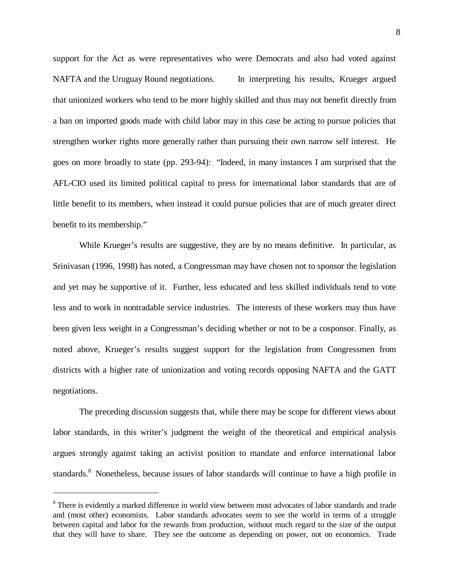support for the Act as were representatives who were Democrats and also had voted against NAFTA and the Uruguay Round negotiations. In interpreting his results, Krueger argued that unionized workers who tend to be more highly skilled and thus may not benefit directly from a ban on imported goods made with child labor may in this case be acting to pursue policies that strengthen worker rights more generally rather than pursuing their own narrow self interest. He goes on more broadly to state (pp. 293-94): "Indeed, in many instances I am surprised that the AFL-CIO used its limited political capital to press for international labor standards that are of little benefit to its members, when instead it could pursue policies that are of much greater direct benefit to its membership."

While Krueger's results are suggestive, they are by no means definitive. In particular, as Srinivasan (1996, 1998) has noted, a Congressman may have chosen not to sponsor the legislation and yet may be supportive of it. Further, less educated and less skilled individuals tend to vote less and to work in nontradable service industries. The interests of these workers may thus have been given less weight in a Congressman's deciding whether or not to be a cosponsor. Finally, as noted above, Krueger's results suggest support for the legislation from Congressmen from districts with a higher rate of unionization and voting records opposing NAFTA and the GATT negotiations.

The preceding discussion suggests that, while there may be scope for different views about labor standards, in this writer's judgment the weight of the theoretical and empirical analysis argues strongly against taking an activist position to mandate and enforce international labor standards.<sup>8</sup> Nonetheless, because issues of labor standards will continue to have a high profile in

.

<sup>&</sup>lt;sup>8</sup> There is evidently a marked difference in world view between most advocates of labor standards and trade and (most other) economists. Labor standards advocates seem to see the world in terms of a struggle between capital and labor for the rewards from production, without much regard to the size of the output that they will have to share. They see the outcome as depending on power, not on economics. Trade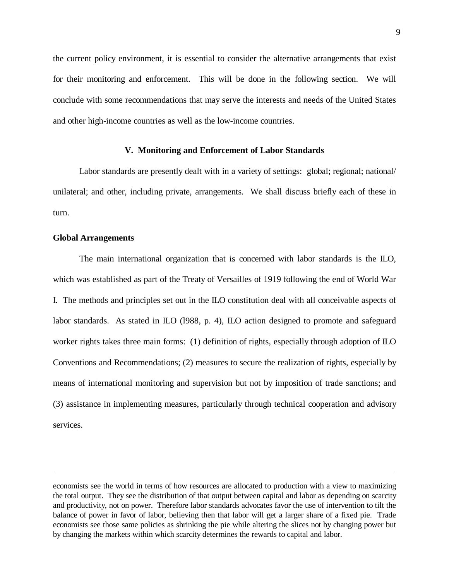the current policy environment, it is essential to consider the alternative arrangements that exist for their monitoring and enforcement. This will be done in the following section. We will conclude with some recommendations that may serve the interests and needs of the United States and other high-income countries as well as the low-income countries.

## **V. Monitoring and Enforcement of Labor Standards**

Labor standards are presently dealt with in a variety of settings: global; regional; national/ unilateral; and other, including private, arrangements. We shall discuss briefly each of these in turn.

## **Global Arrangements**

1

The main international organization that is concerned with labor standards is the ILO, which was established as part of the Treaty of Versailles of 1919 following the end of World War I. The methods and principles set out in the ILO constitution deal with all conceivable aspects of labor standards. As stated in ILO (l988, p. 4), ILO action designed to promote and safeguard worker rights takes three main forms: (1) definition of rights, especially through adoption of  $\text{I\!L}\text{O}$ Conventions and Recommendations; (2) measures to secure the realization of rights, especially by means of international monitoring and supervision but not by imposition of trade sanctions; and (3) assistance in implementing measures, particularly through technical cooperation and advisory services.

economists see the world in terms of how resources are allocated to production with a view to maximizing the total output. They see the distribution of that output between capital and labor as depending on scarcity and productivity, not on power. Therefore labor standards advocates favor the use of intervention to tilt the balance of power in favor of labor, believing then that labor will get a larger share of a fixed pie. Trade economists see those same policies as shrinking the pie while altering the slices not by changing power but by changing the markets within which scarcity determines the rewards to capital and labor.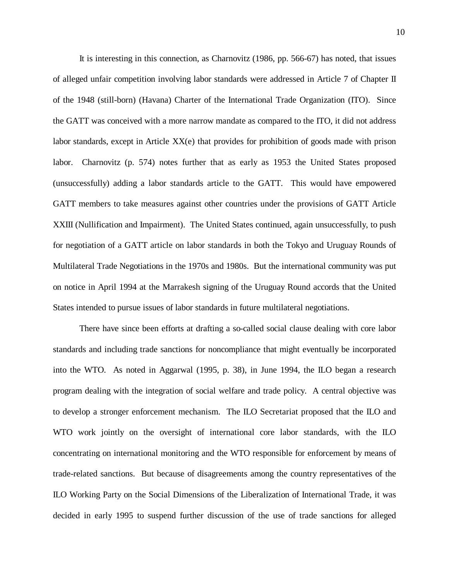It is interesting in this connection, as Charnovitz (1986, pp. 566-67) has noted, that issues of alleged unfair competition involving labor standards were addressed in Article 7 of Chapter II of the 1948 (still-born) (Havana) Charter of the International Trade Organization (ITO). Since the GATT was conceived with a more narrow mandate as compared to the ITO, it did not address labor standards, except in Article XX(e) that provides for prohibition of goods made with prison labor. Charnovitz (p. 574) notes further that as early as 1953 the United States proposed (unsuccessfully) adding a labor standards article to the GATT. This would have empowered GATT members to take measures against other countries under the provisions of GATT Article XXIII (Nullification and Impairment). The United States continued, again unsuccessfully, to push for negotiation of a GATT article on labor standards in both the Tokyo and Uruguay Rounds of Multilateral Trade Negotiations in the 1970s and 1980s. But the international community was put on notice in April 1994 at the Marrakesh signing of the Uruguay Round accords that the United States intended to pursue issues of labor standards in future multilateral negotiations.

There have since been efforts at drafting a so-called social clause dealing with core labor standards and including trade sanctions for noncompliance that might eventually be incorporated into the WTO. As noted in Aggarwal (1995, p. 38), in June 1994, the ILO began a research program dealing with the integration of social welfare and trade policy. A central objective was to develop a stronger enforcement mechanism. The ILO Secretariat proposed that the ILO and WTO work jointly on the oversight of international core labor standards, with the ILO concentrating on international monitoring and the WTO responsible for enforcement by means of trade-related sanctions. But because of disagreements among the country representatives of the ILO Working Party on the Social Dimensions of the Liberalization of International Trade, it was decided in early 1995 to suspend further discussion of the use of trade sanctions for alleged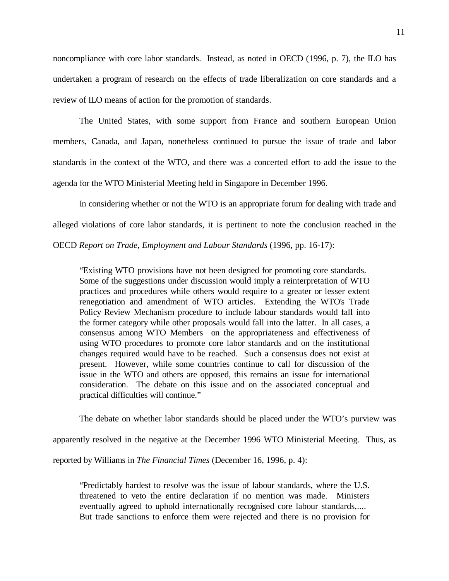noncompliance with core labor standards. Instead, as noted in OECD (1996, p. 7), the ILO has undertaken a program of research on the effects of trade liberalization on core standards and a review of ILO means of action for the promotion of standards.

The United States, with some support from France and southern European Union members, Canada, and Japan, nonetheless continued to pursue the issue of trade and labor standards in the context of the WTO, and there was a concerted effort to add the issue to the agenda for the WTO Ministerial Meeting held in Singapore in December 1996.

In considering whether or not the WTO is an appropriate forum for dealing with trade and alleged violations of core labor standards, it is pertinent to note the conclusion reached in the

OECD *Report on Trade, Employment and Labour Standards* (1996, pp. 16-17):

"Existing WTO provisions have not been designed for promoting core standards. Some of the suggestions under discussion would imply a reinterpretation of WTO practices and procedures while others would require to a greater or lesser extent renegotiation and amendment of WTO articles. Extending the WTO's Trade Policy Review Mechanism procedure to include labour standards would fall into the former category while other proposals would fall into the latter. In all cases, a consensus among WTO Members on the appropriateness and effectiveness of using WTO procedures to promote core labor standards and on the institutional changes required would have to be reached. Such a consensus does not exist at present. However, while some countries continue to call for discussion of the issue in the WTO and others are opposed, this remains an issue for international consideration. The debate on this issue and on the associated conceptual and practical difficulties will continue."

The debate on whether labor standards should be placed under the WTO's purview was

apparently resolved in the negative at the December 1996 WTO Ministerial Meeting. Thus, as

reported by Williams in *The Financial Times* (December 16, 1996, p. 4):

"Predictably hardest to resolve was the issue of labour standards, where the U.S. threatened to veto the entire declaration if no mention was made. Ministers eventually agreed to uphold internationally recognised core labour standards,.... But trade sanctions to enforce them were rejected and there is no provision for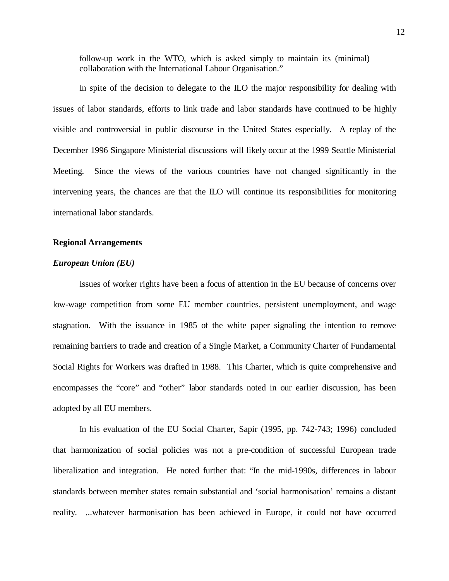follow-up work in the WTO, which is asked simply to maintain its (minimal) collaboration with the International Labour Organisation."

In spite of the decision to delegate to the ILO the major responsibility for dealing with issues of labor standards, efforts to link trade and labor standards have continued to be highly visible and controversial in public discourse in the United States especially. A replay of the December 1996 Singapore Ministerial discussions will likely occur at the 1999 Seattle Ministerial Meeting. Since the views of the various countries have not changed significantly in the intervening years, the chances are that the ILO will continue its responsibilities for monitoring international labor standards.

#### **Regional Arrangements**

## *European Union (EU)*

Issues of worker rights have been a focus of attention in the EU because of concerns over low-wage competition from some EU member countries, persistent unemployment, and wage stagnation. With the issuance in 1985 of the white paper signaling the intention to remove remaining barriers to trade and creation of a Single Market, a Community Charter of Fundamental Social Rights for Workers was drafted in 1988. This Charter, which is quite comprehensive and encompasses the "core" and "other" labor standards noted in our earlier discussion, has been adopted by all EU members.

In his evaluation of the EU Social Charter, Sapir (1995, pp. 742-743; 1996) concluded that harmonization of social policies was not a pre-condition of successful European trade liberalization and integration. He noted further that: "In the mid-1990s, differences in labour standards between member states remain substantial and 'social harmonisation' remains a distant reality. ...whatever harmonisation has been achieved in Europe, it could not have occurred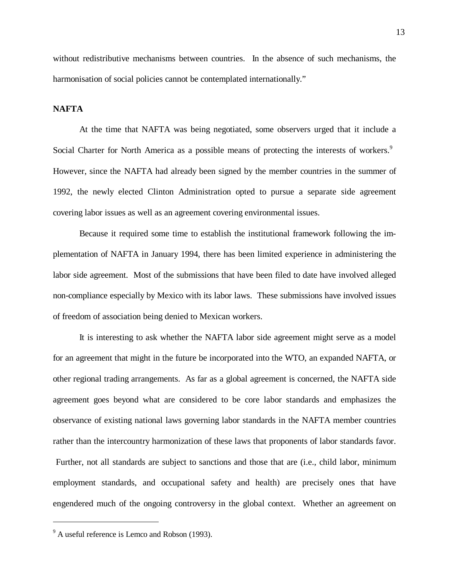without redistributive mechanisms between countries. In the absence of such mechanisms, the harmonisation of social policies cannot be contemplated internationally."

# **NAFTA**

At the time that NAFTA was being negotiated, some observers urged that it include a Social Charter for North America as a possible means of protecting the interests of workers.<sup>9</sup> However, since the NAFTA had already been signed by the member countries in the summer of 1992, the newly elected Clinton Administration opted to pursue a separate side agreement covering labor issues as well as an agreement covering environmental issues.

Because it required some time to establish the institutional framework following the implementation of NAFTA in January 1994, there has been limited experience in administering the labor side agreement. Most of the submissions that have been filed to date have involved alleged non-compliance especially by Mexico with its labor laws. These submissions have involved issues of freedom of association being denied to Mexican workers.

It is interesting to ask whether the NAFTA labor side agreement might serve as a model for an agreement that might in the future be incorporated into the WTO, an expanded NAFTA, or other regional trading arrangements. As far as a global agreement is concerned, the NAFTA side agreement goes beyond what are considered to be core labor standards and emphasizes the observance of existing national laws governing labor standards in the NAFTA member countries rather than the intercountry harmonization of these laws that proponents of labor standards favor. Further, not all standards are subject to sanctions and those that are (i.e., child labor, minimum employment standards, and occupational safety and health) are precisely ones that have engendered much of the ongoing controversy in the global context. Whether an agreement on

.

 $9^9$  A useful reference is Lemco and Robson (1993).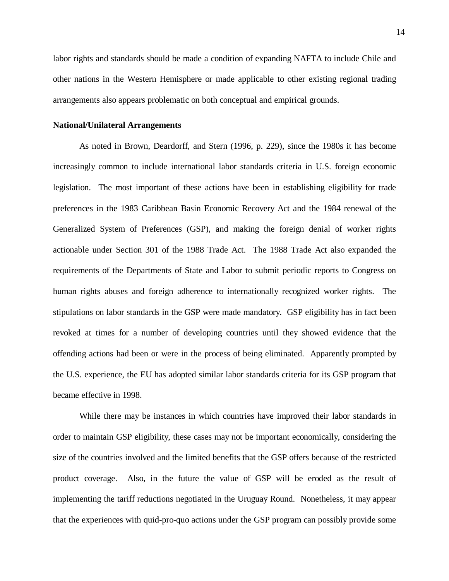labor rights and standards should be made a condition of expanding NAFTA to include Chile and other nations in the Western Hemisphere or made applicable to other existing regional trading arrangements also appears problematic on both conceptual and empirical grounds.

## **National/Unilateral Arrangements**

As noted in Brown, Deardorff, and Stern (1996, p. 229), since the 1980s it has become increasingly common to include international labor standards criteria in U.S. foreign economic legislation. The most important of these actions have been in establishing eligibility for trade preferences in the 1983 Caribbean Basin Economic Recovery Act and the 1984 renewal of the Generalized System of Preferences (GSP), and making the foreign denial of worker rights actionable under Section 301 of the 1988 Trade Act. The 1988 Trade Act also expanded the requirements of the Departments of State and Labor to submit periodic reports to Congress on human rights abuses and foreign adherence to internationally recognized worker rights. The stipulations on labor standards in the GSP were made mandatory. GSP eligibility has in fact been revoked at times for a number of developing countries until they showed evidence that the offending actions had been or were in the process of being eliminated. Apparently prompted by the U.S. experience, the EU has adopted similar labor standards criteria for its GSP program that became effective in 1998.

While there may be instances in which countries have improved their labor standards in order to maintain GSP eligibility, these cases may not be important economically, considering the size of the countries involved and the limited benefits that the GSP offers because of the restricted product coverage. Also, in the future the value of GSP will be eroded as the result of implementing the tariff reductions negotiated in the Uruguay Round. Nonetheless, it may appear that the experiences with quid-pro-quo actions under the GSP program can possibly provide some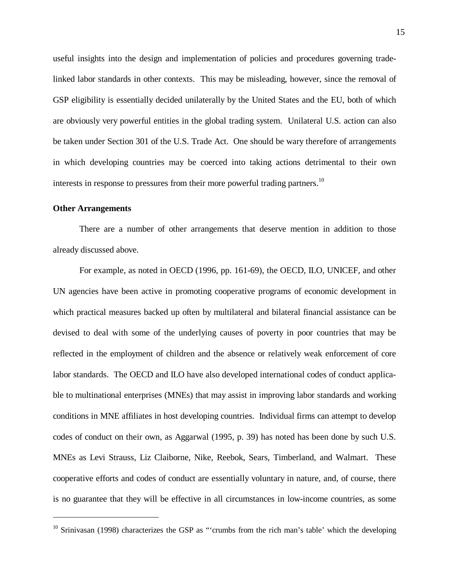useful insights into the design and implementation of policies and procedures governing tradelinked labor standards in other contexts. This may be misleading, however, since the removal of GSP eligibility is essentially decided unilaterally by the United States and the EU, both of which are obviously very powerful entities in the global trading system. Unilateral U.S. action can also be taken under Section 301 of the U.S. Trade Act. One should be wary therefore of arrangements in which developing countries may be coerced into taking actions detrimental to their own interests in response to pressures from their more powerful trading partners.<sup>10</sup>

#### **Other Arrangements**

.

There are a number of other arrangements that deserve mention in addition to those already discussed above.

For example, as noted in OECD (1996, pp. 161-69), the OECD, ILO, UNICEF, and other UN agencies have been active in promoting cooperative programs of economic development in which practical measures backed up often by multilateral and bilateral financial assistance can be devised to deal with some of the underlying causes of poverty in poor countries that may be reflected in the employment of children and the absence or relatively weak enforcement of core labor standards. The OECD and ILO have also developed international codes of conduct applicable to multinational enterprises (MNEs) that may assist in improving labor standards and working conditions in MNE affiliates in host developing countries. Individual firms can attempt to develop codes of conduct on their own, as Aggarwal (1995, p. 39) has noted has been done by such U.S. MNEs as Levi Strauss, Liz Claiborne, Nike, Reebok, Sears, Timberland, and Walmart. These cooperative efforts and codes of conduct are essentially voluntary in nature, and, of course, there is no guarantee that they will be effective in all circumstances in low-income countries, as some

<sup>&</sup>lt;sup>10</sup> Srinivasan (1998) characterizes the GSP as "'crumbs from the rich man's table' which the developing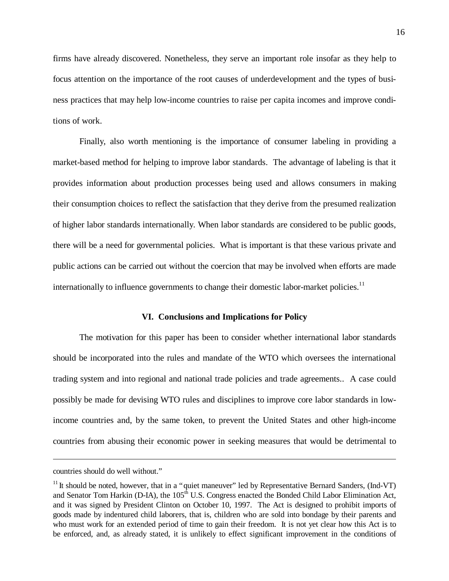firms have already discovered. Nonetheless, they serve an important role insofar as they help to focus attention on the importance of the root causes of underdevelopment and the types of business practices that may help low-income countries to raise per capita incomes and improve conditions of work.

Finally, also worth mentioning is the importance of consumer labeling in providing a market-based method for helping to improve labor standards. The advantage of labeling is that it provides information about production processes being used and allows consumers in making their consumption choices to reflect the satisfaction that they derive from the presumed realization of higher labor standards internationally. When labor standards are considered to be public goods, there will be a need for governmental policies. What is important is that these various private and public actions can be carried out without the coercion that may be involved when efforts are made internationally to influence governments to change their domestic labor-market policies.<sup>11</sup>

## **VI. Conclusions and Implications for Policy**

The motivation for this paper has been to consider whether international labor standards should be incorporated into the rules and mandate of the WTO which oversees the international trading system and into regional and national trade policies and trade agreements.. A case could possibly be made for devising WTO rules and disciplines to improve core labor standards in lowincome countries and, by the same token, to prevent the United States and other high-income countries from abusing their economic power in seeking measures that would be detrimental to

1

countries should do well without."

 $11$  It should be noted, however, that in a "quiet maneuver" led by Representative Bernard Sanders, (Ind-VT) and Senator Tom Harkin (D-IA), the 105<sup>th</sup> U.S. Congress enacted the Bonded Child Labor Elimination Act, and it was signed by President Clinton on October 10, 1997. The Act is designed to prohibit imports of goods made by indentured child laborers, that is, children who are sold into bondage by their parents and who must work for an extended period of time to gain their freedom. It is not yet clear how this Act is to be enforced, and, as already stated, it is unlikely to effect significant improvement in the conditions of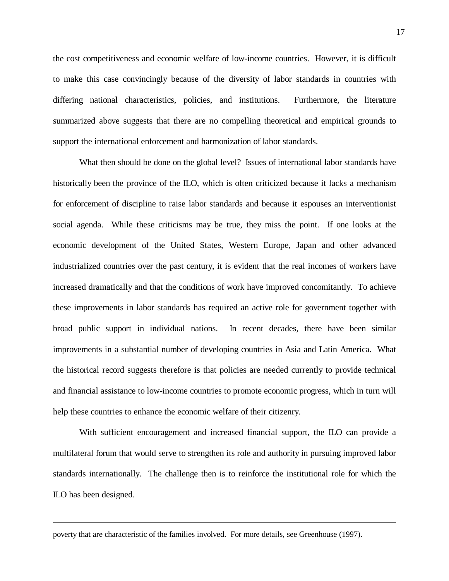the cost competitiveness and economic welfare of low-income countries. However, it is difficult to make this case convincingly because of the diversity of labor standards in countries with differing national characteristics, policies, and institutions. Furthermore, the literature summarized above suggests that there are no compelling theoretical and empirical grounds to support the international enforcement and harmonization of labor standards.

What then should be done on the global level? Issues of international labor standards have historically been the province of the ILO, which is often criticized because it lacks a mechanism for enforcement of discipline to raise labor standards and because it espouses an interventionist social agenda. While these criticisms may be true, they miss the point. If one looks at the economic development of the United States, Western Europe, Japan and other advanced industrialized countries over the past century, it is evident that the real incomes of workers have increased dramatically and that the conditions of work have improved concomitantly. To achieve these improvements in labor standards has required an active role for government together with broad public support in individual nations. In recent decades, there have been similar improvements in a substantial number of developing countries in Asia and Latin America. What the historical record suggests therefore is that policies are needed currently to provide technical and financial assistance to low-income countries to promote economic progress, which in turn will help these countries to enhance the economic welfare of their citizenry.

With sufficient encouragement and increased financial support, the ILO can provide a multilateral forum that would serve to strengthen its role and authority in pursuing improved labor standards internationally. The challenge then is to reinforce the institutional role for which the ILO has been designed.

poverty that are characteristic of the families involved. For more details, see Greenhouse (1997).

1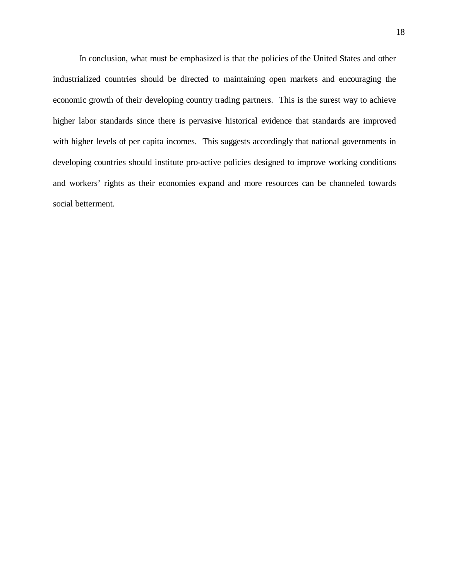In conclusion, what must be emphasized is that the policies of the United States and other industrialized countries should be directed to maintaining open markets and encouraging the economic growth of their developing country trading partners. This is the surest way to achieve higher labor standards since there is pervasive historical evidence that standards are improved with higher levels of per capita incomes. This suggests accordingly that national governments in developing countries should institute pro-active policies designed to improve working conditions and workers' rights as their economies expand and more resources can be channeled towards social betterment.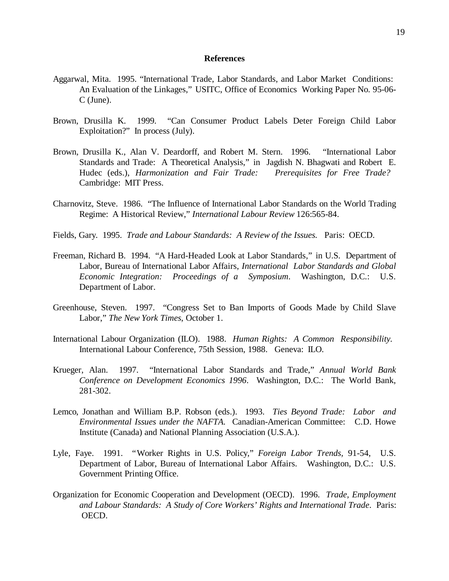#### **References**

- Aggarwal, Mita. 1995. "International Trade, Labor Standards, and Labor Market Conditions: An Evaluation of the Linkages," USITC, Office of Economics Working Paper No. 95-06- C (June).
- Brown, Drusilla K. 1999. "Can Consumer Product Labels Deter Foreign Child Labor Exploitation?" In process (July).
- Brown, Drusilla K., Alan V. Deardorff, and Robert M. Stern. 1996. "International Labor Standards and Trade: A Theoretical Analysis," in Jagdish N. Bhagwati and Robert E. Hudec (eds.), *Harmonization and Fair Trade: Prerequisites for Free Trade?* Cambridge: MIT Press.
- Charnovitz, Steve. 1986. "The Influence of International Labor Standards on the World Trading Regime: A Historical Review," *International Labour Review* 126:565-84.
- Fields, Gary. 1995. *Trade and Labour Standards: A Review of the Issues.* Paris: OECD.
- Freeman, Richard B. 1994. "A Hard-Headed Look at Labor Standards," in U.S. Department of Labor, Bureau of International Labor Affairs, *International Labor Standards and Global Economic Integration: Proceedings of a Symposium*. Washington, D.C.: U.S. Department of Labor.
- Greenhouse, Steven. 1997. "Congress Set to Ban Imports of Goods Made by Child Slave Labor," *The New York Times*, October 1.
- International Labour Organization (ILO). 1988. *Human Rights: A Common Responsibility.* International Labour Conference, 75th Session, 1988. Geneva: ILO.
- Krueger, Alan. 1997. "International Labor Standards and Trade," *Annual World Bank Conference on Development Economics 1996*. Washington, D.C.: The World Bank, 281-302.
- Lemco, Jonathan and William B.P. Robson (eds.). 1993. *Ties Beyond Trade: Labor and Environmental Issues under the NAFTA.* Canadian-American Committee: C.D. Howe Institute (Canada) and National Planning Association (U.S.A.).
- Lyle, Faye. 1991. "Worker Rights in U.S. Policy," *Foreign Labor Trends,* 91-54, U.S. Department of Labor, Bureau of International Labor Affairs. Washington, D.C.: U.S. Government Printing Office.
- Organization for Economic Cooperation and Development (OECD). 1996. *Trade, Employment and Labour Standards: A Study of Core Workers' Rights and International Trade*. Paris: OECD.